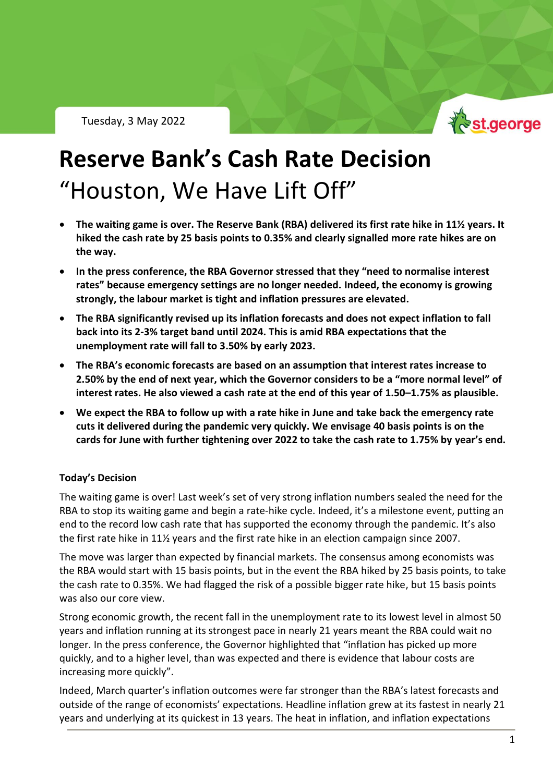Tuesday, 3 May 2022



# **Reserve Bank's Cash Rate Decision** "Houston, We Have Lift Off"

- **The waiting game is over. The Reserve Bank (RBA) delivered its first rate hike in 11½ years. It hiked the cash rate by 25 basis points to 0.35% and clearly signalled more rate hikes are on the way.**
- **In the press conference, the RBA Governor stressed that they "need to normalise interest rates" because emergency settings are no longer needed. Indeed, the economy is growing strongly, the labour market is tight and inflation pressures are elevated.**
- **The RBA significantly revised up its inflation forecasts and does not expect inflation to fall back into its 2-3% target band until 2024. This is amid RBA expectations that the unemployment rate will fall to 3.50% by early 2023.**
- **The RBA's economic forecasts are based on an assumption that interest rates increase to 2.50% by the end of next year, which the Governor considers to be a "more normal level" of interest rates. He also viewed a cash rate at the end of this year of 1.50–1.75% as plausible.**
- **We expect the RBA to follow up with a rate hike in June and take back the emergency rate cuts it delivered during the pandemic very quickly. We envisage 40 basis points is on the cards for June with further tightening over 2022 to take the cash rate to 1.75% by year's end.**

#### **Today's Decision**

The waiting game is over! Last week's set of very strong inflation numbers sealed the need for the RBA to stop its waiting game and begin a rate-hike cycle. Indeed, it's a milestone event, putting an end to the record low cash rate that has supported the economy through the pandemic. It's also the first rate hike in 11½ years and the first rate hike in an election campaign since 2007.

The move was larger than expected by financial markets. The consensus among economists was the RBA would start with 15 basis points, but in the event the RBA hiked by 25 basis points, to take the cash rate to 0.35%. We had flagged the risk of a possible bigger rate hike, but 15 basis points was also our core view.

Strong economic growth, the recent fall in the unemployment rate to its lowest level in almost 50 years and inflation running at its strongest pace in nearly 21 years meant the RBA could wait no longer. In the press conference, the Governor highlighted that "inflation has picked up more quickly, and to a higher level, than was expected and there is evidence that labour costs are increasing more quickly".

Indeed, March quarter's inflation outcomes were far stronger than the RBA's latest forecasts and outside of the range of economists' expectations. Headline inflation grew at its fastest in nearly 21 years and underlying at its quickest in 13 years. The heat in inflation, and inflation expectations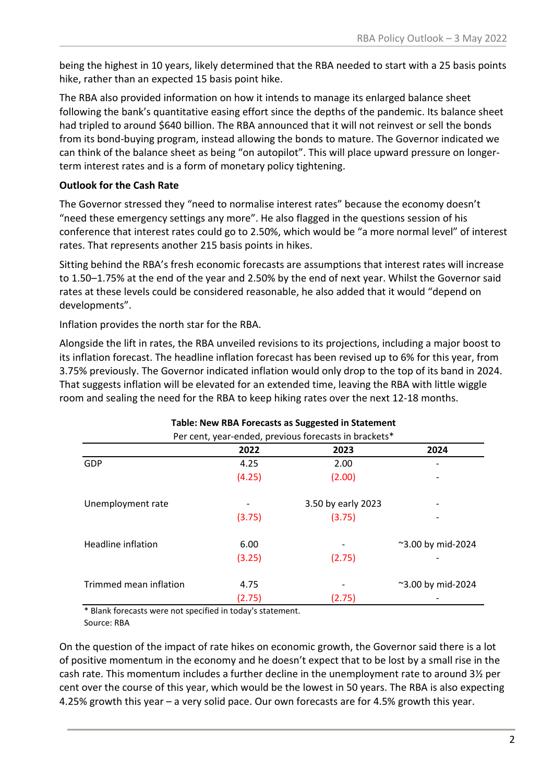being the highest in 10 years, likely determined that the RBA needed to start with a 25 basis points hike, rather than an expected 15 basis point hike.

The RBA also provided information on how it intends to manage its enlarged balance sheet following the bank's quantitative easing effort since the depths of the pandemic. Its balance sheet had tripled to around \$640 billion. The RBA announced that it will not reinvest or sell the bonds from its bond-buying program, instead allowing the bonds to mature. The Governor indicated we can think of the balance sheet as being "on autopilot". This will place upward pressure on longerterm interest rates and is a form of monetary policy tightening.

#### **Outlook for the Cash Rate**

The Governor stressed they "need to normalise interest rates" because the economy doesn't "need these emergency settings any more". He also flagged in the questions session of his conference that interest rates could go to 2.50%, which would be "a more normal level" of interest rates. That represents another 215 basis points in hikes.

Sitting behind the RBA's fresh economic forecasts are assumptions that interest rates will increase to 1.50–1.75% at the end of the year and 2.50% by the end of next year. Whilst the Governor said rates at these levels could be considered reasonable, he also added that it would "depend on developments".

Inflation provides the north star for the RBA.

Alongside the lift in rates, the RBA unveiled revisions to its projections, including a major boost to its inflation forecast. The headline inflation forecast has been revised up to 6% for this year, from 3.75% previously. The Governor indicated inflation would only drop to the top of its band in 2024. That suggests inflation will be elevated for an extended time, leaving the RBA with little wiggle room and sealing the need for the RBA to keep hiking rates over the next 12-18 months.

| Per cent, year-ended, previous forecasts in brackets* |        |                    |                   |
|-------------------------------------------------------|--------|--------------------|-------------------|
|                                                       | 2022   | 2023               | 2024              |
| GDP                                                   | 4.25   | 2.00               |                   |
|                                                       | (4.25) | (2.00)             |                   |
| Unemployment rate                                     |        | 3.50 by early 2023 |                   |
|                                                       | (3.75) | (3.75)             |                   |
| Headline inflation                                    | 6.00   |                    | ~3.00 by mid-2024 |
|                                                       | (3.25) | (2.75)             |                   |
| Trimmed mean inflation                                | 4.75   |                    | ~3.00 by mid-2024 |
|                                                       | (2.75) | (2.75)             |                   |

## **Table: New RBA Forecasts as Suggested in Statement**

\* Blank forecasts were not specified in today's statement. Source: RBA

On the question of the impact of rate hikes on economic growth, the Governor said there is a lot of positive momentum in the economy and he doesn't expect that to be lost by a small rise in the cash rate. This momentum includes a further decline in the unemployment rate to around 3½ per cent over the course of this year, which would be the lowest in 50 years. The RBA is also expecting 4.25% growth this year – a very solid pace. Our own forecasts are for 4.5% growth this year.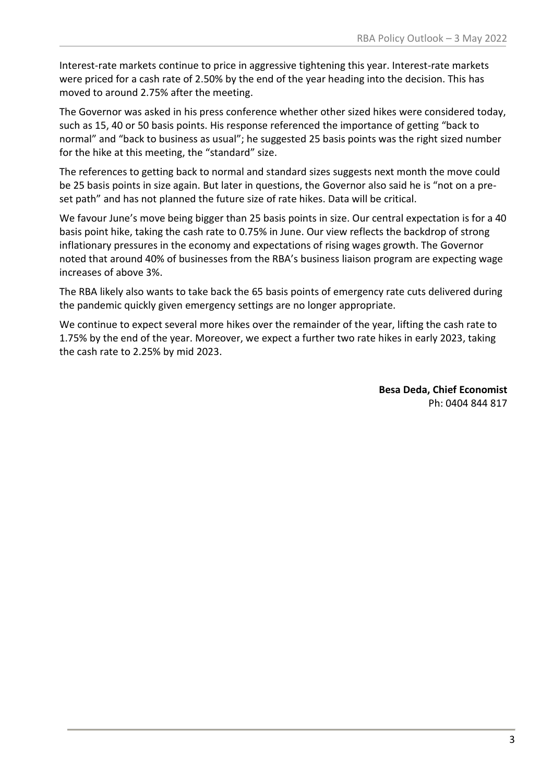Interest-rate markets continue to price in aggressive tightening this year. Interest-rate markets were priced for a cash rate of 2.50% by the end of the year heading into the decision. This has moved to around 2.75% after the meeting.

The Governor was asked in his press conference whether other sized hikes were considered today, such as 15, 40 or 50 basis points. His response referenced the importance of getting "back to normal" and "back to business as usual"; he suggested 25 basis points was the right sized number for the hike at this meeting, the "standard" size.

The references to getting back to normal and standard sizes suggests next month the move could be 25 basis points in size again. But later in questions, the Governor also said he is "not on a preset path" and has not planned the future size of rate hikes. Data will be critical.

We favour June's move being bigger than 25 basis points in size. Our central expectation is for a 40 basis point hike, taking the cash rate to 0.75% in June. Our view reflects the backdrop of strong inflationary pressures in the economy and expectations of rising wages growth. The Governor noted that around 40% of businesses from the RBA's business liaison program are expecting wage increases of above 3%.

The RBA likely also wants to take back the 65 basis points of emergency rate cuts delivered during the pandemic quickly given emergency settings are no longer appropriate.

We continue to expect several more hikes over the remainder of the year, lifting the cash rate to 1.75% by the end of the year. Moreover, we expect a further two rate hikes in early 2023, taking the cash rate to 2.25% by mid 2023.

> **Besa Deda, Chief Economist** Ph: 0404 844 817